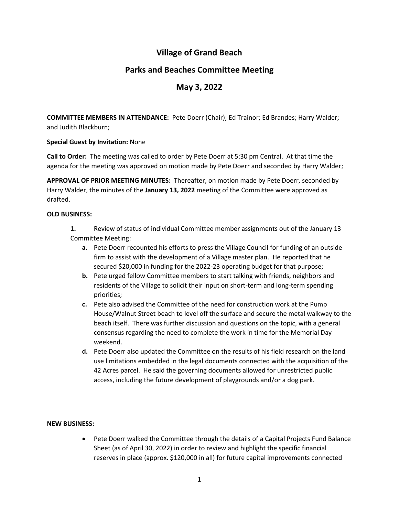# **Village of Grand Beach**

## **Parks and Beaches Committee Meeting**

## **May 3, 2022**

**COMMITTEE MEMBERS IN ATTENDANCE:** Pete Doerr (Chair); Ed Trainor; Ed Brandes; Harry Walder; and Judith Blackburn;

### **Special Guest by Invitation:** None

**Call to Order:** The meeting was called to order by Pete Doerr at 5:30 pm Central. At that time the agenda for the meeting was approved on motion made by Pete Doerr and seconded by Harry Walder;

**APPROVAL OF PRIOR MEETING MINUTES:** Thereafter, on motion made by Pete Doerr, seconded by Harry Walder, the minutes of the **January 13, 2022** meeting of the Committee were approved as drafted.

#### **OLD BUSINESS:**

**1.** Review of status of individual Committee member assignments out of the January 13 Committee Meeting:

- **a.** Pete Doerr recounted his efforts to press the Village Council for funding of an outside firm to assist with the development of a Village master plan. He reported that he secured \$20,000 in funding for the 2022-23 operating budget for that purpose;
- **b.** Pete urged fellow Committee members to start talking with friends, neighbors and residents of the Village to solicit their input on short-term and long-term spending priorities;
- **c.** Pete also advised the Committee of the need for construction work at the Pump House/Walnut Street beach to level off the surface and secure the metal walkway to the beach itself. There was further discussion and questions on the topic, with a general consensus regarding the need to complete the work in time for the Memorial Day weekend.
- **d.** Pete Doerr also updated the Committee on the results of his field research on the land use limitations embedded in the legal documents connected with the acquisition of the 42 Acres parcel. He said the governing documents allowed for unrestricted public access, including the future development of playgrounds and/or a dog park.

#### **NEW BUSINESS:**

• Pete Doerr walked the Committee through the details of a Capital Projects Fund Balance Sheet (as of April 30, 2022) in order to review and highlight the specific financial reserves in place (approx. \$120,000 in all) for future capital improvements connected